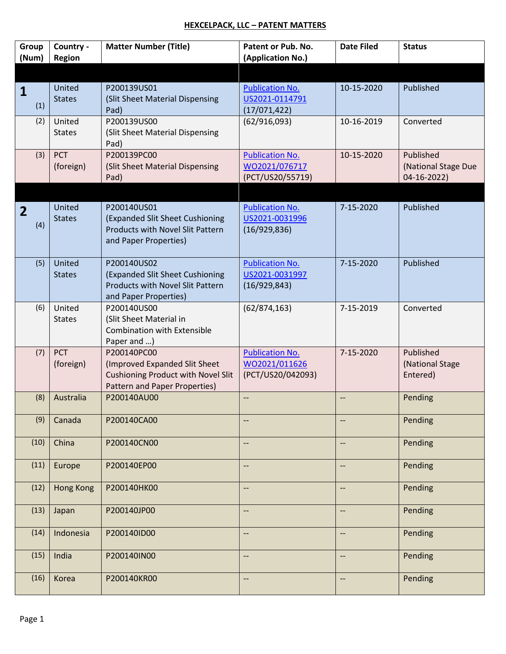## **HEXCELPACK, LLC – PATENT MATTERS**

| Group<br>(Num)        | Country -<br>Region     | <b>Matter Number (Title)</b>                                                                                               | Patent or Pub. No.<br>(Application No.)                      | <b>Date Filed</b>        | <b>Status</b>                                   |
|-----------------------|-------------------------|----------------------------------------------------------------------------------------------------------------------------|--------------------------------------------------------------|--------------------------|-------------------------------------------------|
|                       |                         |                                                                                                                            |                                                              |                          |                                                 |
| 1<br>(1)              | United<br><b>States</b> | P200139US01<br>(Slit Sheet Material Dispensing<br>Pad)                                                                     | <b>Publication No.</b><br>US2021-0114791<br>(17/071, 422)    | 10-15-2020               | Published                                       |
| (2)                   | United<br><b>States</b> | P200139US00<br>(Slit Sheet Material Dispensing<br>Pad)                                                                     | (62/916,093)                                                 | 10-16-2019               | Converted                                       |
| (3)                   | <b>PCT</b><br>(foreign) | P200139PC00<br>(Slit Sheet Material Dispensing<br>Pad)                                                                     | <b>Publication No.</b><br>WO2021/076717<br>(PCT/US20/55719)  | 10-15-2020               | Published<br>(National Stage Due<br>04-16-2022) |
| $\overline{2}$<br>(4) | United<br><b>States</b> | P200140US01<br>(Expanded Slit Sheet Cushioning<br>Products with Novel Slit Pattern<br>and Paper Properties)                | <b>Publication No.</b><br>US2021-0031996<br>(16/929, 836)    | 7-15-2020                | Published                                       |
| (5)                   | United<br><b>States</b> | P200140US02<br>(Expanded Slit Sheet Cushioning<br>Products with Novel Slit Pattern<br>and Paper Properties)                | <b>Publication No.</b><br>US2021-0031997<br>(16/929, 843)    | 7-15-2020                | Published                                       |
| (6)                   | United<br><b>States</b> | P200140US00<br>(Slit Sheet Material in<br><b>Combination with Extensible</b><br>Paper and )                                | (62/874, 163)                                                | 7-15-2019                | Converted                                       |
| (7)                   | <b>PCT</b><br>(foreign) | P200140PC00<br>(Improved Expanded Slit Sheet<br><b>Cushioning Product with Novel Slit</b><br>Pattern and Paper Properties) | <b>Publication No.</b><br>WO2021/011626<br>(PCT/US20/042093) | 7-15-2020                | Published<br>(National Stage<br>Entered)        |
| (8)                   | Australia               | P200140AU00                                                                                                                | --                                                           | --                       | Pending                                         |
| (9)                   | Canada                  | P200140CA00                                                                                                                |                                                              |                          | Pending                                         |
| (10)                  | China                   | P200140CN00                                                                                                                | $\overline{\phantom{a}}$                                     | --                       | Pending                                         |
| (11)                  | Europe                  | P200140EP00                                                                                                                |                                                              | $-$                      | Pending                                         |
| (12)                  | <b>Hong Kong</b>        | P200140HK00                                                                                                                | $\overline{\phantom{a}}$                                     | --                       | Pending                                         |
| (13)                  | Japan                   | P200140JP00                                                                                                                | --                                                           | $\overline{\phantom{a}}$ | Pending                                         |
| (14)                  | Indonesia               | P200140ID00                                                                                                                | --                                                           | $\overline{\phantom{a}}$ | Pending                                         |
| (15)                  | India                   | P200140IN00                                                                                                                | --                                                           | --                       | Pending                                         |
| (16)                  | Korea                   | P200140KR00                                                                                                                | $-$                                                          | $\overline{\phantom{a}}$ | Pending                                         |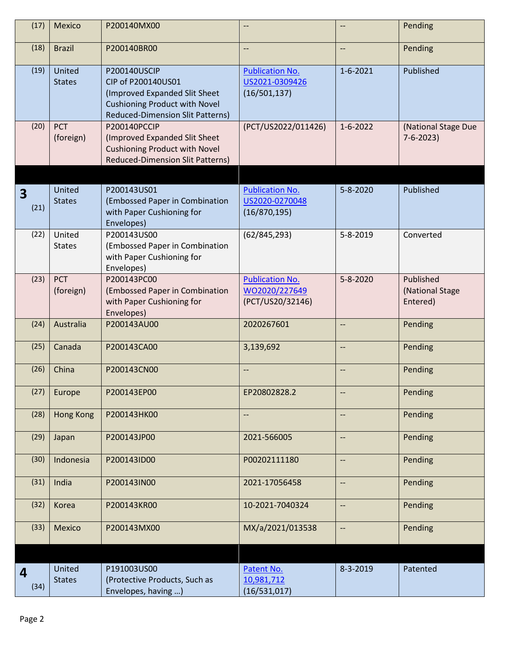| (17)      | Mexico                  | P200140MX00                                                                                                                                            |                                                             |                          | Pending                                  |
|-----------|-------------------------|--------------------------------------------------------------------------------------------------------------------------------------------------------|-------------------------------------------------------------|--------------------------|------------------------------------------|
| (18)      | <b>Brazil</b>           | P200140BR00                                                                                                                                            | $\overline{\phantom{a}}$                                    | $-$                      | Pending                                  |
| (19)      | United<br><b>States</b> | P200140USCIP<br>CIP of P200140US01<br>(Improved Expanded Slit Sheet<br><b>Cushioning Product with Novel</b><br><b>Reduced-Dimension Slit Patterns)</b> | <b>Publication No.</b><br>US2021-0309426<br>(16/501, 137)   | $1 - 6 - 2021$           | Published                                |
| (20)      | <b>PCT</b><br>(foreign) | P200140PCCIP<br>(Improved Expanded Slit Sheet<br><b>Cushioning Product with Novel</b><br><b>Reduced-Dimension Slit Patterns)</b>                       | (PCT/US2022/011426)                                         | $1 - 6 - 2022$           | (National Stage Due<br>$7 - 6 - 2023$    |
| 3<br>(21) | United<br><b>States</b> | P200143US01<br>(Embossed Paper in Combination<br>with Paper Cushioning for<br>Envelopes)                                                               | <b>Publication No.</b><br>US2020-0270048<br>(16/870, 195)   | $5 - 8 - 2020$           | Published                                |
| (22)      | United<br><b>States</b> | P200143US00<br>(Embossed Paper in Combination<br>with Paper Cushioning for<br>Envelopes)                                                               | (62/845, 293)                                               | 5-8-2019                 | Converted                                |
| (23)      | <b>PCT</b><br>(foreign) | P200143PC00<br>(Embossed Paper in Combination<br>with Paper Cushioning for<br>Envelopes)                                                               | <b>Publication No.</b><br>WO2020/227649<br>(PCT/US20/32146) | $5 - 8 - 2020$           | Published<br>(National Stage<br>Entered) |
| (24)      | Australia               | P200143AU00                                                                                                                                            | 2020267601                                                  | --                       | Pending                                  |
| (25)      | Canada                  | P200143CA00                                                                                                                                            | 3,139,692                                                   | --                       | Pending                                  |
| (26)      | China                   | P200143CN00                                                                                                                                            |                                                             | --                       | Pending                                  |
|           | $(27)$ Europe           | P200143EP00                                                                                                                                            | EP20802828.2                                                |                          | Pending                                  |
| (28)      | <b>Hong Kong</b>        | P200143HK00                                                                                                                                            | $\overline{\phantom{a}}$                                    | $\overline{\phantom{a}}$ | Pending                                  |
| (29)      | Japan                   | P200143JP00                                                                                                                                            | 2021-566005                                                 | --                       | Pending                                  |
| (30)      | Indonesia               | P200143ID00                                                                                                                                            | P00202111180                                                | --                       | Pending                                  |
| (31)      | India                   | P200143IN00                                                                                                                                            | 2021-17056458                                               | --                       | Pending                                  |
| (32)      | Korea                   | P200143KR00                                                                                                                                            | 10-2021-7040324                                             | $\overline{\phantom{a}}$ | Pending                                  |
| (33)      | Mexico                  | P200143MX00                                                                                                                                            | MX/a/2021/013538                                            | --                       | Pending                                  |
|           |                         |                                                                                                                                                        |                                                             |                          |                                          |
| 4<br>(34) | United<br><b>States</b> | P191003US00<br>(Protective Products, Such as<br>Envelopes, having )                                                                                    | Patent No.<br>10,981,712<br>(16/531,017)                    | 8-3-2019                 | Patented                                 |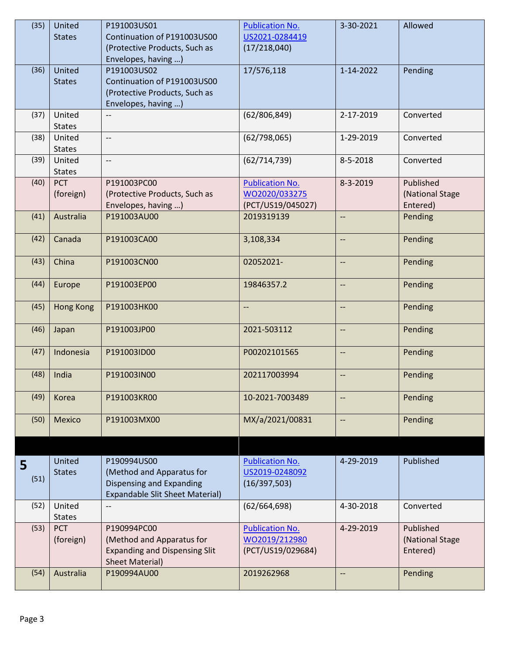| (35) | United           | P191003US01                            | <b>Publication No.</b>   | 3-30-2021                | Allowed         |
|------|------------------|----------------------------------------|--------------------------|--------------------------|-----------------|
|      | <b>States</b>    | Continuation of P191003US00            | US2021-0284419           |                          |                 |
|      |                  | (Protective Products, Such as          | (17/218,040)             |                          |                 |
|      |                  | Envelopes, having )                    |                          |                          |                 |
|      |                  |                                        |                          |                          |                 |
| (36) | United           | P191003US02                            | 17/576,118               | 1-14-2022                | Pending         |
|      | <b>States</b>    | Continuation of P191003US00            |                          |                          |                 |
|      |                  | (Protective Products, Such as          |                          |                          |                 |
|      |                  | Envelopes, having )                    |                          |                          |                 |
| (37) | United           |                                        | (62/806, 849)            | 2-17-2019                | Converted       |
|      | <b>States</b>    |                                        |                          |                          |                 |
| (38) | United           | $\overline{\phantom{a}}$               | (62/798,065)             | 1-29-2019                | Converted       |
|      |                  |                                        |                          |                          |                 |
|      | <b>States</b>    |                                        |                          |                          |                 |
| (39) | United           | $\overline{\phantom{a}}$               | (62/714, 739)            | 8-5-2018                 | Converted       |
|      | <b>States</b>    |                                        |                          |                          |                 |
| (40) | <b>PCT</b>       | P191003PC00                            | <b>Publication No.</b>   | 8-3-2019                 | Published       |
|      | (foreign)        | (Protective Products, Such as          | WO2020/033275            |                          | (National Stage |
|      |                  | Envelopes, having )                    | (PCT/US19/045027)        |                          | Entered)        |
| (41) | Australia        | P191003AU00                            | 2019319139               | $-$                      | Pending         |
|      |                  |                                        |                          |                          |                 |
|      |                  |                                        |                          |                          |                 |
| (42) | Canada           | P191003CA00                            | 3,108,334                | --                       | Pending         |
|      |                  |                                        |                          |                          |                 |
| (43) | China            | P191003CN00                            | 02052021-                | --                       | Pending         |
|      |                  |                                        |                          |                          |                 |
| (44) | Europe           | P191003EP00                            | 19846357.2               | $-$                      | Pending         |
|      |                  |                                        |                          |                          |                 |
|      |                  |                                        |                          |                          |                 |
| (45) | <b>Hong Kong</b> | P191003HK00                            | $\overline{\phantom{a}}$ | $\overline{\phantom{m}}$ | Pending         |
|      |                  |                                        |                          |                          |                 |
| (46) | Japan            | P191003JP00                            | 2021-503112              | --                       | Pending         |
|      |                  |                                        |                          |                          |                 |
| (47) | Indonesia        | P191003ID00                            | P00202101565             | $\overline{\phantom{a}}$ | Pending         |
|      |                  |                                        |                          |                          |                 |
| (48) | India            | P191003IN00                            | 202117003994             | --                       | Pending         |
|      |                  |                                        |                          |                          |                 |
| (49) | Korea            | P191003KR00                            | 10-2021-7003489          | --                       | Pending         |
|      |                  |                                        |                          |                          |                 |
|      |                  |                                        |                          |                          |                 |
| (50) | <b>Mexico</b>    | P191003MX00                            | MX/a/2021/00831          | --                       | Pending         |
|      |                  |                                        |                          |                          |                 |
|      |                  |                                        |                          |                          |                 |
|      |                  |                                        |                          |                          |                 |
| 5    | United           | P190994US00                            | <b>Publication No.</b>   | 4-29-2019                | Published       |
| (51) | <b>States</b>    | (Method and Apparatus for              | US2019-0248092           |                          |                 |
|      |                  | Dispensing and Expanding               | (16/397,503)             |                          |                 |
|      |                  | <b>Expandable Slit Sheet Material)</b> |                          |                          |                 |
| (52) | United           | $-$                                    | (62/664, 698)            | 4-30-2018                | Converted       |
|      | <b>States</b>    |                                        |                          |                          |                 |
| (53) | <b>PCT</b>       | P190994PC00                            | <b>Publication No.</b>   | 4-29-2019                | Published       |
|      |                  |                                        |                          |                          |                 |
|      | (foreign)        | (Method and Apparatus for              | WO2019/212980            |                          | (National Stage |
|      |                  | <b>Expanding and Dispensing Slit</b>   | (PCT/US19/029684)        |                          | Entered)        |
|      |                  | <b>Sheet Material)</b>                 |                          |                          |                 |
| (54) | Australia        | P190994AU00                            | 2019262968               | --                       | Pending         |
|      |                  |                                        |                          |                          |                 |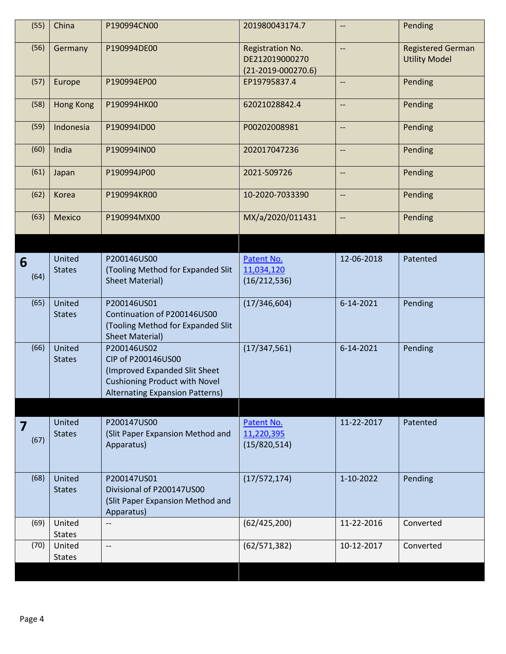| (55)      | China                   | P190994CN00                                                                                                                                   | 201980043174.7                                             | --                       | Pending                                          |
|-----------|-------------------------|-----------------------------------------------------------------------------------------------------------------------------------------------|------------------------------------------------------------|--------------------------|--------------------------------------------------|
| (56)      | Germany                 | P190994DE00                                                                                                                                   | Registration No.<br>DE212019000270<br>$(21-2019-000270.6)$ | --                       | <b>Registered German</b><br><b>Utility Model</b> |
| (57)      | Europe                  | P190994EP00                                                                                                                                   | EP19795837.4                                               | $\overline{\phantom{a}}$ | Pending                                          |
| (58)      | <b>Hong Kong</b>        | P190994HK00                                                                                                                                   | 62021028842.4                                              | $\overline{\phantom{a}}$ | Pending                                          |
| (59)      | Indonesia               | P190994ID00                                                                                                                                   | P00202008981                                               | $\overline{\phantom{a}}$ | Pending                                          |
| (60)      | India                   | P190994IN00                                                                                                                                   | 202017047236                                               | $\overline{\phantom{a}}$ | Pending                                          |
| (61)      | Japan                   | P190994JP00                                                                                                                                   | 2021-509726                                                | $\overline{\phantom{a}}$ | Pending                                          |
| (62)      | Korea                   | P190994KR00                                                                                                                                   | 10-2020-7033390                                            | --                       | Pending                                          |
| (63)      | Mexico                  | P190994MX00                                                                                                                                   | MX/a/2020/011431                                           | --                       | Pending                                          |
|           |                         |                                                                                                                                               |                                                            |                          |                                                  |
| 6<br>(64) | United<br><b>States</b> | P200146US00<br>(Tooling Method for Expanded Slit<br><b>Sheet Material)</b>                                                                    | Patent No.<br>11,034,120<br>(16/212, 536)                  | 12-06-2018               | Patented                                         |
| (65)      | United<br><b>States</b> | P200146US01<br>Continuation of P200146US00<br>(Tooling Method for Expanded Slit<br><b>Sheet Material)</b>                                     | (17/346, 604)                                              | 6-14-2021                | Pending                                          |
| (66)      | United<br><b>States</b> | P200146US02<br>CIP of P200146US00<br>(Improved Expanded Slit Sheet<br><b>Cushioning Product with Novel</b><br>Alternating Expansion Patterns) | (17/347, 561)                                              | 6-14-2021                | Pending                                          |
|           |                         |                                                                                                                                               |                                                            |                          |                                                  |
| 7<br>(67) | United<br><b>States</b> | P200147US00<br>(Slit Paper Expansion Method and<br>Apparatus)                                                                                 | Patent No.<br>11,220,395<br>(15/820, 514)                  | 11-22-2017               | Patented                                         |
| (68)      | United<br><b>States</b> | P200147US01<br>Divisional of P200147US00<br>(Slit Paper Expansion Method and<br>Apparatus)                                                    | (17/572, 174)                                              | 1-10-2022                | Pending                                          |
| (69)      | United<br><b>States</b> | --                                                                                                                                            | (62/425, 200)                                              | 11-22-2016               | Converted                                        |
| (70)      | United<br><b>States</b> | --                                                                                                                                            | (62/571, 382)                                              | 10-12-2017               | Converted                                        |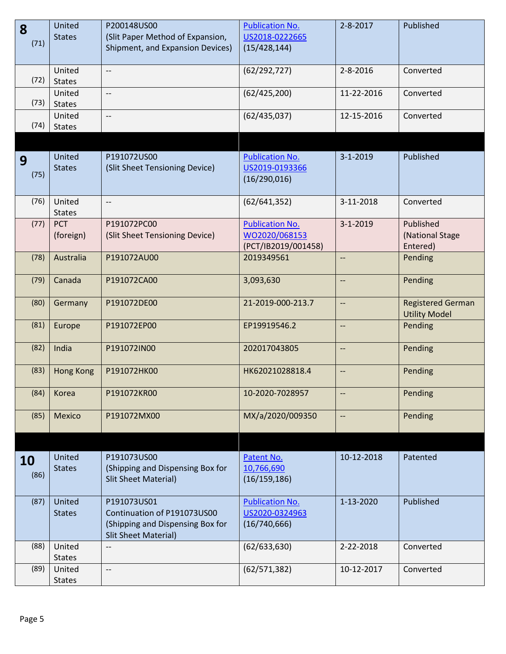| 8                 | United                  | P200148US00                                                                                                   | <b>Publication No.</b>                                         | $2 - 8 - 2017$           | Published                                        |
|-------------------|-------------------------|---------------------------------------------------------------------------------------------------------------|----------------------------------------------------------------|--------------------------|--------------------------------------------------|
| (71)              | <b>States</b>           | (Slit Paper Method of Expansion,<br>Shipment, and Expansion Devices)                                          | US2018-0222665<br>(15/428, 144)                                |                          |                                                  |
|                   |                         |                                                                                                               |                                                                |                          |                                                  |
| (72)              | United<br><b>States</b> | $\overline{\phantom{m}}$                                                                                      | (62/292, 727)                                                  | $2 - 8 - 2016$           | Converted                                        |
| (73)              | United<br><b>States</b> | $-$                                                                                                           | (62/425, 200)                                                  | 11-22-2016               | Converted                                        |
| (74)              | United<br><b>States</b> | $\overline{\phantom{m}}$                                                                                      | (62/435,037)                                                   | 12-15-2016               | Converted                                        |
|                   |                         |                                                                                                               |                                                                |                          |                                                  |
| 9<br>(75)         | United<br><b>States</b> | P191072US00<br>(Slit Sheet Tensioning Device)                                                                 | <b>Publication No.</b><br>US2019-0193366<br>(16/290, 016)      | $3 - 1 - 2019$           | Published                                        |
| (76)              | United<br><b>States</b> | $\overline{\phantom{a}}$                                                                                      | (62/641, 352)                                                  | 3-11-2018                | Converted                                        |
| (77)              | <b>PCT</b><br>(foreign) | P191072PC00<br>(Slit Sheet Tensioning Device)                                                                 | <b>Publication No.</b><br>WO2020/068153<br>(PCT/IB2019/001458) | $3 - 1 - 2019$           | Published<br>(National Stage<br>Entered)         |
| (78)              | Australia               | P191072AU00                                                                                                   | 2019349561                                                     | $\overline{\phantom{a}}$ | Pending                                          |
| (79)              | Canada                  | P191072CA00                                                                                                   | 3,093,630                                                      | $\overline{\phantom{a}}$ | Pending                                          |
| (80)              | Germany                 | P191072DE00                                                                                                   | 21-2019-000-213.7                                              | $\overline{\phantom{m}}$ | <b>Registered German</b><br><b>Utility Model</b> |
| (81)              | Europe                  | P191072EP00                                                                                                   | EP19919546.2                                                   | $\overline{\phantom{a}}$ | Pending                                          |
| (82)              | India                   | P191072IN00                                                                                                   | 202017043805                                                   | $\overline{\phantom{m}}$ | Pending                                          |
| (83)              | <b>Hong Kong</b>        | P191072HK00                                                                                                   | HK62021028818.4                                                | --                       | Pending                                          |
| (84)              | Korea                   | P191072KR00                                                                                                   | 10-2020-7028957                                                | --                       | Pending                                          |
| (85)              | Mexico                  | P191072MX00                                                                                                   | MX/a/2020/009350                                               | $\overline{\phantom{a}}$ | Pending                                          |
|                   |                         |                                                                                                               |                                                                |                          |                                                  |
| <b>10</b><br>(86) | United<br><b>States</b> | P191073US00<br>(Shipping and Dispensing Box for<br><b>Slit Sheet Material)</b>                                | Patent No.<br>10,766,690<br>(16/159, 186)                      | 10-12-2018               | Patented                                         |
| (87)              | United<br><b>States</b> | P191073US01<br>Continuation of P191073US00<br>(Shipping and Dispensing Box for<br><b>Slit Sheet Material)</b> | <b>Publication No.</b><br>US2020-0324963<br>(16/740, 666)      | 1-13-2020                | Published                                        |
| (88)              | United<br><b>States</b> | $\overline{\phantom{a}}$                                                                                      | (62/633, 630)                                                  | 2-22-2018                | Converted                                        |
| (89)              | United<br><b>States</b> | $\overline{\phantom{m}}$                                                                                      | (62/571, 382)                                                  | 10-12-2017               | Converted                                        |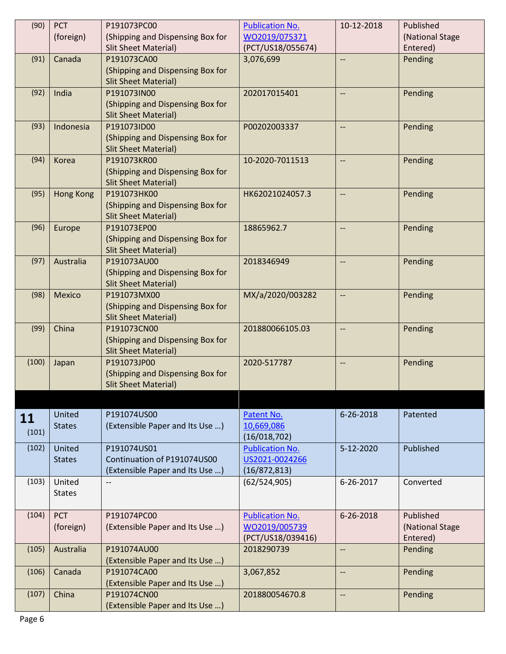| (Shipping and Dispensing Box for<br>WO2019/075371<br>(National Stage<br>(foreign)<br><b>Slit Sheet Material)</b><br>(PCT/US18/055674)<br>Entered)<br>Canada<br>P191073CA00<br>3,076,699<br>Pending<br>(91)<br>(Shipping and Dispensing Box for<br><b>Slit Sheet Material)</b><br>(92)<br>India<br>P191073IN00<br>202017015401<br>Pending<br>$\overline{\phantom{a}}$<br>(Shipping and Dispensing Box for<br><b>Slit Sheet Material)</b><br>(93)<br>P191073ID00<br>Indonesia<br>P00202003337<br>Pending<br>$\overline{\phantom{a}}$<br>(Shipping and Dispensing Box for<br><b>Slit Sheet Material)</b><br>(94)<br>P191073KR00<br>10-2020-7011513<br>Pending<br>Korea<br>$\overline{\phantom{a}}$<br>(Shipping and Dispensing Box for<br><b>Slit Sheet Material)</b><br>(95)<br><b>Hong Kong</b><br>P191073HK00<br>HK62021024057.3<br>Pending<br>--<br>(Shipping and Dispensing Box for<br><b>Slit Sheet Material)</b><br>(96)<br>Europe<br>P191073EP00<br>18865962.7<br>Pending<br>--<br>(Shipping and Dispensing Box for<br><b>Slit Sheet Material)</b><br>(97)<br>Australia<br>P191073AU00<br>2018346949<br>Pending<br>--<br>(Shipping and Dispensing Box for<br><b>Slit Sheet Material)</b><br>(98)<br>P191073MX00<br>MX/a/2020/003282<br><b>Mexico</b><br>Pending<br>--<br>(Shipping and Dispensing Box for<br><b>Slit Sheet Material)</b><br>China<br>(99)<br>P191073CN00<br>201880066105.03<br>Pending<br>$\overline{\phantom{a}}$<br>(Shipping and Dispensing Box for<br><b>Slit Sheet Material)</b><br>(100)<br>P191073JP00<br>2020-517787<br>Japan<br>Pending<br>--<br>(Shipping and Dispensing Box for<br><b>Slit Sheet Material)</b><br>United<br>P191074US00<br>Patent No.<br>6-26-2018<br>Patented<br>11<br>(Extensible Paper and Its Use )<br><b>States</b><br>10,669,086<br>(101)<br>(16/018, 702)<br><b>Publication No.</b><br>(102)<br>United<br>P191074US01<br>Published<br>5-12-2020<br>Continuation of P191074US00<br>US2021-0024266<br><b>States</b><br>(Extensible Paper and Its Use )<br>(16/872, 813)<br>United<br>6-26-2017<br>Converted<br>(103)<br>(62/524,905)<br>$\overline{\phantom{a}}$<br><b>States</b><br><b>PCT</b><br>Published<br>(104)<br>P191074PC00<br><b>Publication No.</b><br>6-26-2018<br>(foreign)<br>(Extensible Paper and Its Use )<br>WO2019/005739<br>(National Stage<br>(PCT/US18/039416)<br>Entered)<br>(105)<br>Australia<br>P191074AU00<br>2018290739<br>Pending<br>--<br>(Extensible Paper and Its Use )<br>(106)<br>Canada<br>P191074CA00<br>3,067,852<br>Pending<br>$\overline{\phantom{a}}$<br>(Extensible Paper and Its Use )<br>China<br>(107)<br>P191074CN00<br>Pending<br>201880054670.8<br>--<br>(Extensible Paper and Its Use ) | (90) | <b>PCT</b> | P191073PC00 | <b>Publication No.</b> | 10-12-2018 | Published |
|----------------------------------------------------------------------------------------------------------------------------------------------------------------------------------------------------------------------------------------------------------------------------------------------------------------------------------------------------------------------------------------------------------------------------------------------------------------------------------------------------------------------------------------------------------------------------------------------------------------------------------------------------------------------------------------------------------------------------------------------------------------------------------------------------------------------------------------------------------------------------------------------------------------------------------------------------------------------------------------------------------------------------------------------------------------------------------------------------------------------------------------------------------------------------------------------------------------------------------------------------------------------------------------------------------------------------------------------------------------------------------------------------------------------------------------------------------------------------------------------------------------------------------------------------------------------------------------------------------------------------------------------------------------------------------------------------------------------------------------------------------------------------------------------------------------------------------------------------------------------------------------------------------------------------------------------------------------------------------------------------------------------------------------------------------------------------------------------------------------------------------------------------------------------------------------------------------------------------------------------------------------------------------------------------------------------------------------------------------------------------------------------------------------------------------------------------------------------------------------------------------------------------------------------------------------------------------------------------------------------------------------------------------------------------------------------|------|------------|-------------|------------------------|------------|-----------|
|                                                                                                                                                                                                                                                                                                                                                                                                                                                                                                                                                                                                                                                                                                                                                                                                                                                                                                                                                                                                                                                                                                                                                                                                                                                                                                                                                                                                                                                                                                                                                                                                                                                                                                                                                                                                                                                                                                                                                                                                                                                                                                                                                                                                                                                                                                                                                                                                                                                                                                                                                                                                                                                                                              |      |            |             |                        |            |           |
|                                                                                                                                                                                                                                                                                                                                                                                                                                                                                                                                                                                                                                                                                                                                                                                                                                                                                                                                                                                                                                                                                                                                                                                                                                                                                                                                                                                                                                                                                                                                                                                                                                                                                                                                                                                                                                                                                                                                                                                                                                                                                                                                                                                                                                                                                                                                                                                                                                                                                                                                                                                                                                                                                              |      |            |             |                        |            |           |
|                                                                                                                                                                                                                                                                                                                                                                                                                                                                                                                                                                                                                                                                                                                                                                                                                                                                                                                                                                                                                                                                                                                                                                                                                                                                                                                                                                                                                                                                                                                                                                                                                                                                                                                                                                                                                                                                                                                                                                                                                                                                                                                                                                                                                                                                                                                                                                                                                                                                                                                                                                                                                                                                                              |      |            |             |                        |            |           |
|                                                                                                                                                                                                                                                                                                                                                                                                                                                                                                                                                                                                                                                                                                                                                                                                                                                                                                                                                                                                                                                                                                                                                                                                                                                                                                                                                                                                                                                                                                                                                                                                                                                                                                                                                                                                                                                                                                                                                                                                                                                                                                                                                                                                                                                                                                                                                                                                                                                                                                                                                                                                                                                                                              |      |            |             |                        |            |           |
|                                                                                                                                                                                                                                                                                                                                                                                                                                                                                                                                                                                                                                                                                                                                                                                                                                                                                                                                                                                                                                                                                                                                                                                                                                                                                                                                                                                                                                                                                                                                                                                                                                                                                                                                                                                                                                                                                                                                                                                                                                                                                                                                                                                                                                                                                                                                                                                                                                                                                                                                                                                                                                                                                              |      |            |             |                        |            |           |
|                                                                                                                                                                                                                                                                                                                                                                                                                                                                                                                                                                                                                                                                                                                                                                                                                                                                                                                                                                                                                                                                                                                                                                                                                                                                                                                                                                                                                                                                                                                                                                                                                                                                                                                                                                                                                                                                                                                                                                                                                                                                                                                                                                                                                                                                                                                                                                                                                                                                                                                                                                                                                                                                                              |      |            |             |                        |            |           |
|                                                                                                                                                                                                                                                                                                                                                                                                                                                                                                                                                                                                                                                                                                                                                                                                                                                                                                                                                                                                                                                                                                                                                                                                                                                                                                                                                                                                                                                                                                                                                                                                                                                                                                                                                                                                                                                                                                                                                                                                                                                                                                                                                                                                                                                                                                                                                                                                                                                                                                                                                                                                                                                                                              |      |            |             |                        |            |           |
|                                                                                                                                                                                                                                                                                                                                                                                                                                                                                                                                                                                                                                                                                                                                                                                                                                                                                                                                                                                                                                                                                                                                                                                                                                                                                                                                                                                                                                                                                                                                                                                                                                                                                                                                                                                                                                                                                                                                                                                                                                                                                                                                                                                                                                                                                                                                                                                                                                                                                                                                                                                                                                                                                              |      |            |             |                        |            |           |
|                                                                                                                                                                                                                                                                                                                                                                                                                                                                                                                                                                                                                                                                                                                                                                                                                                                                                                                                                                                                                                                                                                                                                                                                                                                                                                                                                                                                                                                                                                                                                                                                                                                                                                                                                                                                                                                                                                                                                                                                                                                                                                                                                                                                                                                                                                                                                                                                                                                                                                                                                                                                                                                                                              |      |            |             |                        |            |           |
|                                                                                                                                                                                                                                                                                                                                                                                                                                                                                                                                                                                                                                                                                                                                                                                                                                                                                                                                                                                                                                                                                                                                                                                                                                                                                                                                                                                                                                                                                                                                                                                                                                                                                                                                                                                                                                                                                                                                                                                                                                                                                                                                                                                                                                                                                                                                                                                                                                                                                                                                                                                                                                                                                              |      |            |             |                        |            |           |
|                                                                                                                                                                                                                                                                                                                                                                                                                                                                                                                                                                                                                                                                                                                                                                                                                                                                                                                                                                                                                                                                                                                                                                                                                                                                                                                                                                                                                                                                                                                                                                                                                                                                                                                                                                                                                                                                                                                                                                                                                                                                                                                                                                                                                                                                                                                                                                                                                                                                                                                                                                                                                                                                                              |      |            |             |                        |            |           |
|                                                                                                                                                                                                                                                                                                                                                                                                                                                                                                                                                                                                                                                                                                                                                                                                                                                                                                                                                                                                                                                                                                                                                                                                                                                                                                                                                                                                                                                                                                                                                                                                                                                                                                                                                                                                                                                                                                                                                                                                                                                                                                                                                                                                                                                                                                                                                                                                                                                                                                                                                                                                                                                                                              |      |            |             |                        |            |           |
|                                                                                                                                                                                                                                                                                                                                                                                                                                                                                                                                                                                                                                                                                                                                                                                                                                                                                                                                                                                                                                                                                                                                                                                                                                                                                                                                                                                                                                                                                                                                                                                                                                                                                                                                                                                                                                                                                                                                                                                                                                                                                                                                                                                                                                                                                                                                                                                                                                                                                                                                                                                                                                                                                              |      |            |             |                        |            |           |
|                                                                                                                                                                                                                                                                                                                                                                                                                                                                                                                                                                                                                                                                                                                                                                                                                                                                                                                                                                                                                                                                                                                                                                                                                                                                                                                                                                                                                                                                                                                                                                                                                                                                                                                                                                                                                                                                                                                                                                                                                                                                                                                                                                                                                                                                                                                                                                                                                                                                                                                                                                                                                                                                                              |      |            |             |                        |            |           |
|                                                                                                                                                                                                                                                                                                                                                                                                                                                                                                                                                                                                                                                                                                                                                                                                                                                                                                                                                                                                                                                                                                                                                                                                                                                                                                                                                                                                                                                                                                                                                                                                                                                                                                                                                                                                                                                                                                                                                                                                                                                                                                                                                                                                                                                                                                                                                                                                                                                                                                                                                                                                                                                                                              |      |            |             |                        |            |           |
|                                                                                                                                                                                                                                                                                                                                                                                                                                                                                                                                                                                                                                                                                                                                                                                                                                                                                                                                                                                                                                                                                                                                                                                                                                                                                                                                                                                                                                                                                                                                                                                                                                                                                                                                                                                                                                                                                                                                                                                                                                                                                                                                                                                                                                                                                                                                                                                                                                                                                                                                                                                                                                                                                              |      |            |             |                        |            |           |
|                                                                                                                                                                                                                                                                                                                                                                                                                                                                                                                                                                                                                                                                                                                                                                                                                                                                                                                                                                                                                                                                                                                                                                                                                                                                                                                                                                                                                                                                                                                                                                                                                                                                                                                                                                                                                                                                                                                                                                                                                                                                                                                                                                                                                                                                                                                                                                                                                                                                                                                                                                                                                                                                                              |      |            |             |                        |            |           |
|                                                                                                                                                                                                                                                                                                                                                                                                                                                                                                                                                                                                                                                                                                                                                                                                                                                                                                                                                                                                                                                                                                                                                                                                                                                                                                                                                                                                                                                                                                                                                                                                                                                                                                                                                                                                                                                                                                                                                                                                                                                                                                                                                                                                                                                                                                                                                                                                                                                                                                                                                                                                                                                                                              |      |            |             |                        |            |           |
|                                                                                                                                                                                                                                                                                                                                                                                                                                                                                                                                                                                                                                                                                                                                                                                                                                                                                                                                                                                                                                                                                                                                                                                                                                                                                                                                                                                                                                                                                                                                                                                                                                                                                                                                                                                                                                                                                                                                                                                                                                                                                                                                                                                                                                                                                                                                                                                                                                                                                                                                                                                                                                                                                              |      |            |             |                        |            |           |
|                                                                                                                                                                                                                                                                                                                                                                                                                                                                                                                                                                                                                                                                                                                                                                                                                                                                                                                                                                                                                                                                                                                                                                                                                                                                                                                                                                                                                                                                                                                                                                                                                                                                                                                                                                                                                                                                                                                                                                                                                                                                                                                                                                                                                                                                                                                                                                                                                                                                                                                                                                                                                                                                                              |      |            |             |                        |            |           |
|                                                                                                                                                                                                                                                                                                                                                                                                                                                                                                                                                                                                                                                                                                                                                                                                                                                                                                                                                                                                                                                                                                                                                                                                                                                                                                                                                                                                                                                                                                                                                                                                                                                                                                                                                                                                                                                                                                                                                                                                                                                                                                                                                                                                                                                                                                                                                                                                                                                                                                                                                                                                                                                                                              |      |            |             |                        |            |           |
|                                                                                                                                                                                                                                                                                                                                                                                                                                                                                                                                                                                                                                                                                                                                                                                                                                                                                                                                                                                                                                                                                                                                                                                                                                                                                                                                                                                                                                                                                                                                                                                                                                                                                                                                                                                                                                                                                                                                                                                                                                                                                                                                                                                                                                                                                                                                                                                                                                                                                                                                                                                                                                                                                              |      |            |             |                        |            |           |
|                                                                                                                                                                                                                                                                                                                                                                                                                                                                                                                                                                                                                                                                                                                                                                                                                                                                                                                                                                                                                                                                                                                                                                                                                                                                                                                                                                                                                                                                                                                                                                                                                                                                                                                                                                                                                                                                                                                                                                                                                                                                                                                                                                                                                                                                                                                                                                                                                                                                                                                                                                                                                                                                                              |      |            |             |                        |            |           |
|                                                                                                                                                                                                                                                                                                                                                                                                                                                                                                                                                                                                                                                                                                                                                                                                                                                                                                                                                                                                                                                                                                                                                                                                                                                                                                                                                                                                                                                                                                                                                                                                                                                                                                                                                                                                                                                                                                                                                                                                                                                                                                                                                                                                                                                                                                                                                                                                                                                                                                                                                                                                                                                                                              |      |            |             |                        |            |           |
|                                                                                                                                                                                                                                                                                                                                                                                                                                                                                                                                                                                                                                                                                                                                                                                                                                                                                                                                                                                                                                                                                                                                                                                                                                                                                                                                                                                                                                                                                                                                                                                                                                                                                                                                                                                                                                                                                                                                                                                                                                                                                                                                                                                                                                                                                                                                                                                                                                                                                                                                                                                                                                                                                              |      |            |             |                        |            |           |
|                                                                                                                                                                                                                                                                                                                                                                                                                                                                                                                                                                                                                                                                                                                                                                                                                                                                                                                                                                                                                                                                                                                                                                                                                                                                                                                                                                                                                                                                                                                                                                                                                                                                                                                                                                                                                                                                                                                                                                                                                                                                                                                                                                                                                                                                                                                                                                                                                                                                                                                                                                                                                                                                                              |      |            |             |                        |            |           |
|                                                                                                                                                                                                                                                                                                                                                                                                                                                                                                                                                                                                                                                                                                                                                                                                                                                                                                                                                                                                                                                                                                                                                                                                                                                                                                                                                                                                                                                                                                                                                                                                                                                                                                                                                                                                                                                                                                                                                                                                                                                                                                                                                                                                                                                                                                                                                                                                                                                                                                                                                                                                                                                                                              |      |            |             |                        |            |           |
|                                                                                                                                                                                                                                                                                                                                                                                                                                                                                                                                                                                                                                                                                                                                                                                                                                                                                                                                                                                                                                                                                                                                                                                                                                                                                                                                                                                                                                                                                                                                                                                                                                                                                                                                                                                                                                                                                                                                                                                                                                                                                                                                                                                                                                                                                                                                                                                                                                                                                                                                                                                                                                                                                              |      |            |             |                        |            |           |
|                                                                                                                                                                                                                                                                                                                                                                                                                                                                                                                                                                                                                                                                                                                                                                                                                                                                                                                                                                                                                                                                                                                                                                                                                                                                                                                                                                                                                                                                                                                                                                                                                                                                                                                                                                                                                                                                                                                                                                                                                                                                                                                                                                                                                                                                                                                                                                                                                                                                                                                                                                                                                                                                                              |      |            |             |                        |            |           |
|                                                                                                                                                                                                                                                                                                                                                                                                                                                                                                                                                                                                                                                                                                                                                                                                                                                                                                                                                                                                                                                                                                                                                                                                                                                                                                                                                                                                                                                                                                                                                                                                                                                                                                                                                                                                                                                                                                                                                                                                                                                                                                                                                                                                                                                                                                                                                                                                                                                                                                                                                                                                                                                                                              |      |            |             |                        |            |           |
|                                                                                                                                                                                                                                                                                                                                                                                                                                                                                                                                                                                                                                                                                                                                                                                                                                                                                                                                                                                                                                                                                                                                                                                                                                                                                                                                                                                                                                                                                                                                                                                                                                                                                                                                                                                                                                                                                                                                                                                                                                                                                                                                                                                                                                                                                                                                                                                                                                                                                                                                                                                                                                                                                              |      |            |             |                        |            |           |
|                                                                                                                                                                                                                                                                                                                                                                                                                                                                                                                                                                                                                                                                                                                                                                                                                                                                                                                                                                                                                                                                                                                                                                                                                                                                                                                                                                                                                                                                                                                                                                                                                                                                                                                                                                                                                                                                                                                                                                                                                                                                                                                                                                                                                                                                                                                                                                                                                                                                                                                                                                                                                                                                                              |      |            |             |                        |            |           |
|                                                                                                                                                                                                                                                                                                                                                                                                                                                                                                                                                                                                                                                                                                                                                                                                                                                                                                                                                                                                                                                                                                                                                                                                                                                                                                                                                                                                                                                                                                                                                                                                                                                                                                                                                                                                                                                                                                                                                                                                                                                                                                                                                                                                                                                                                                                                                                                                                                                                                                                                                                                                                                                                                              |      |            |             |                        |            |           |
|                                                                                                                                                                                                                                                                                                                                                                                                                                                                                                                                                                                                                                                                                                                                                                                                                                                                                                                                                                                                                                                                                                                                                                                                                                                                                                                                                                                                                                                                                                                                                                                                                                                                                                                                                                                                                                                                                                                                                                                                                                                                                                                                                                                                                                                                                                                                                                                                                                                                                                                                                                                                                                                                                              |      |            |             |                        |            |           |
|                                                                                                                                                                                                                                                                                                                                                                                                                                                                                                                                                                                                                                                                                                                                                                                                                                                                                                                                                                                                                                                                                                                                                                                                                                                                                                                                                                                                                                                                                                                                                                                                                                                                                                                                                                                                                                                                                                                                                                                                                                                                                                                                                                                                                                                                                                                                                                                                                                                                                                                                                                                                                                                                                              |      |            |             |                        |            |           |
|                                                                                                                                                                                                                                                                                                                                                                                                                                                                                                                                                                                                                                                                                                                                                                                                                                                                                                                                                                                                                                                                                                                                                                                                                                                                                                                                                                                                                                                                                                                                                                                                                                                                                                                                                                                                                                                                                                                                                                                                                                                                                                                                                                                                                                                                                                                                                                                                                                                                                                                                                                                                                                                                                              |      |            |             |                        |            |           |
|                                                                                                                                                                                                                                                                                                                                                                                                                                                                                                                                                                                                                                                                                                                                                                                                                                                                                                                                                                                                                                                                                                                                                                                                                                                                                                                                                                                                                                                                                                                                                                                                                                                                                                                                                                                                                                                                                                                                                                                                                                                                                                                                                                                                                                                                                                                                                                                                                                                                                                                                                                                                                                                                                              |      |            |             |                        |            |           |
|                                                                                                                                                                                                                                                                                                                                                                                                                                                                                                                                                                                                                                                                                                                                                                                                                                                                                                                                                                                                                                                                                                                                                                                                                                                                                                                                                                                                                                                                                                                                                                                                                                                                                                                                                                                                                                                                                                                                                                                                                                                                                                                                                                                                                                                                                                                                                                                                                                                                                                                                                                                                                                                                                              |      |            |             |                        |            |           |
|                                                                                                                                                                                                                                                                                                                                                                                                                                                                                                                                                                                                                                                                                                                                                                                                                                                                                                                                                                                                                                                                                                                                                                                                                                                                                                                                                                                                                                                                                                                                                                                                                                                                                                                                                                                                                                                                                                                                                                                                                                                                                                                                                                                                                                                                                                                                                                                                                                                                                                                                                                                                                                                                                              |      |            |             |                        |            |           |
|                                                                                                                                                                                                                                                                                                                                                                                                                                                                                                                                                                                                                                                                                                                                                                                                                                                                                                                                                                                                                                                                                                                                                                                                                                                                                                                                                                                                                                                                                                                                                                                                                                                                                                                                                                                                                                                                                                                                                                                                                                                                                                                                                                                                                                                                                                                                                                                                                                                                                                                                                                                                                                                                                              |      |            |             |                        |            |           |
|                                                                                                                                                                                                                                                                                                                                                                                                                                                                                                                                                                                                                                                                                                                                                                                                                                                                                                                                                                                                                                                                                                                                                                                                                                                                                                                                                                                                                                                                                                                                                                                                                                                                                                                                                                                                                                                                                                                                                                                                                                                                                                                                                                                                                                                                                                                                                                                                                                                                                                                                                                                                                                                                                              |      |            |             |                        |            |           |
|                                                                                                                                                                                                                                                                                                                                                                                                                                                                                                                                                                                                                                                                                                                                                                                                                                                                                                                                                                                                                                                                                                                                                                                                                                                                                                                                                                                                                                                                                                                                                                                                                                                                                                                                                                                                                                                                                                                                                                                                                                                                                                                                                                                                                                                                                                                                                                                                                                                                                                                                                                                                                                                                                              |      |            |             |                        |            |           |
|                                                                                                                                                                                                                                                                                                                                                                                                                                                                                                                                                                                                                                                                                                                                                                                                                                                                                                                                                                                                                                                                                                                                                                                                                                                                                                                                                                                                                                                                                                                                                                                                                                                                                                                                                                                                                                                                                                                                                                                                                                                                                                                                                                                                                                                                                                                                                                                                                                                                                                                                                                                                                                                                                              |      |            |             |                        |            |           |
|                                                                                                                                                                                                                                                                                                                                                                                                                                                                                                                                                                                                                                                                                                                                                                                                                                                                                                                                                                                                                                                                                                                                                                                                                                                                                                                                                                                                                                                                                                                                                                                                                                                                                                                                                                                                                                                                                                                                                                                                                                                                                                                                                                                                                                                                                                                                                                                                                                                                                                                                                                                                                                                                                              |      |            |             |                        |            |           |
|                                                                                                                                                                                                                                                                                                                                                                                                                                                                                                                                                                                                                                                                                                                                                                                                                                                                                                                                                                                                                                                                                                                                                                                                                                                                                                                                                                                                                                                                                                                                                                                                                                                                                                                                                                                                                                                                                                                                                                                                                                                                                                                                                                                                                                                                                                                                                                                                                                                                                                                                                                                                                                                                                              |      |            |             |                        |            |           |
|                                                                                                                                                                                                                                                                                                                                                                                                                                                                                                                                                                                                                                                                                                                                                                                                                                                                                                                                                                                                                                                                                                                                                                                                                                                                                                                                                                                                                                                                                                                                                                                                                                                                                                                                                                                                                                                                                                                                                                                                                                                                                                                                                                                                                                                                                                                                                                                                                                                                                                                                                                                                                                                                                              |      |            |             |                        |            |           |
|                                                                                                                                                                                                                                                                                                                                                                                                                                                                                                                                                                                                                                                                                                                                                                                                                                                                                                                                                                                                                                                                                                                                                                                                                                                                                                                                                                                                                                                                                                                                                                                                                                                                                                                                                                                                                                                                                                                                                                                                                                                                                                                                                                                                                                                                                                                                                                                                                                                                                                                                                                                                                                                                                              |      |            |             |                        |            |           |
|                                                                                                                                                                                                                                                                                                                                                                                                                                                                                                                                                                                                                                                                                                                                                                                                                                                                                                                                                                                                                                                                                                                                                                                                                                                                                                                                                                                                                                                                                                                                                                                                                                                                                                                                                                                                                                                                                                                                                                                                                                                                                                                                                                                                                                                                                                                                                                                                                                                                                                                                                                                                                                                                                              |      |            |             |                        |            |           |
|                                                                                                                                                                                                                                                                                                                                                                                                                                                                                                                                                                                                                                                                                                                                                                                                                                                                                                                                                                                                                                                                                                                                                                                                                                                                                                                                                                                                                                                                                                                                                                                                                                                                                                                                                                                                                                                                                                                                                                                                                                                                                                                                                                                                                                                                                                                                                                                                                                                                                                                                                                                                                                                                                              |      |            |             |                        |            |           |
|                                                                                                                                                                                                                                                                                                                                                                                                                                                                                                                                                                                                                                                                                                                                                                                                                                                                                                                                                                                                                                                                                                                                                                                                                                                                                                                                                                                                                                                                                                                                                                                                                                                                                                                                                                                                                                                                                                                                                                                                                                                                                                                                                                                                                                                                                                                                                                                                                                                                                                                                                                                                                                                                                              |      |            |             |                        |            |           |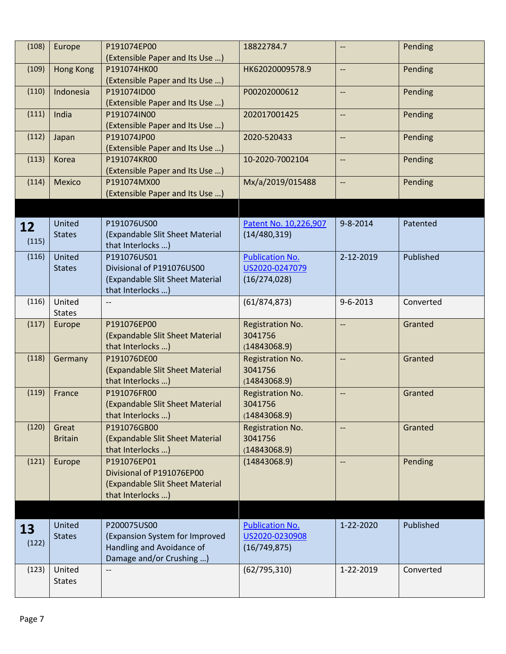| (108)       | Europe                  | P191074EP00<br>(Extensible Paper and Its Use )                                                         | 18822784.7                                                | --                       | Pending   |
|-------------|-------------------------|--------------------------------------------------------------------------------------------------------|-----------------------------------------------------------|--------------------------|-----------|
| (109)       | <b>Hong Kong</b>        | P191074HK00<br>(Extensible Paper and Its Use )                                                         | HK62020009578.9                                           | --                       | Pending   |
| (110)       | Indonesia               | P191074ID00<br>(Extensible Paper and Its Use )                                                         | P00202000612                                              | --                       | Pending   |
| (111)       | India                   | P191074IN00<br>(Extensible Paper and Its Use )                                                         | 202017001425                                              | --                       | Pending   |
| (112)       | Japan                   | P191074JP00<br>(Extensible Paper and Its Use )                                                         | 2020-520433                                               | $\overline{\phantom{a}}$ | Pending   |
| (113)       | Korea                   | P191074KR00<br>(Extensible Paper and Its Use )                                                         | 10-2020-7002104                                           | $\overline{\phantom{a}}$ | Pending   |
| (114)       | Mexico                  | P191074MX00<br>(Extensible Paper and Its Use )                                                         | Mx/a/2019/015488                                          | $\overline{\phantom{a}}$ | Pending   |
|             |                         |                                                                                                        |                                                           |                          |           |
| 12<br>(115) | United<br><b>States</b> | P191076US00<br>(Expandable Slit Sheet Material<br>that Interlocks )                                    | Patent No. 10,226,907<br>(14/480, 319)                    | $9 - 8 - 2014$           | Patented  |
| (116)       | United<br><b>States</b> | P191076US01<br>Divisional of P191076US00<br>(Expandable Slit Sheet Material<br>that Interlocks )       | <b>Publication No.</b><br>US2020-0247079<br>(16/274, 028) | 2-12-2019                | Published |
| (116)       | United<br><b>States</b> |                                                                                                        | (61/874, 873)                                             | $9 - 6 - 2013$           | Converted |
| (117)       | Europe                  | P191076EP00<br>(Expandable Slit Sheet Material<br>that Interlocks )                                    | Registration No.<br>3041756<br>(14843068.9)               | --                       | Granted   |
| (118)       | Germany                 | P191076DE00<br>(Expandable Slit Sheet Material<br>that Interlocks )                                    | Registration No.<br>3041756<br>(14843068.9)               | --                       | Granted   |
| (119)       | France                  | P191076FR00<br>(Expandable Slit Sheet Material<br>that Interlocks )                                    | Registration No.<br>3041756<br>(14843068.9)               | --                       | Granted   |
| (120)       | Great<br><b>Britain</b> | P191076GB00<br>(Expandable Slit Sheet Material<br>that Interlocks )                                    | Registration No.<br>3041756<br>(14843068.9)               | --                       | Granted   |
| (121)       | Europe                  | P191076EP01<br>Divisional of P191076EP00<br>(Expandable Slit Sheet Material<br>that Interlocks )       | (14843068.9)                                              | --                       | Pending   |
|             |                         |                                                                                                        |                                                           |                          |           |
| 13<br>(122) | United<br><b>States</b> | P200075US00<br>(Expansion System for Improved<br>Handling and Avoidance of<br>Damage and/or Crushing ) | <b>Publication No.</b><br>US2020-0230908<br>(16/749, 875) | 1-22-2020                | Published |
| (123)       | United<br><b>States</b> | $-$                                                                                                    | (62/795, 310)                                             | 1-22-2019                | Converted |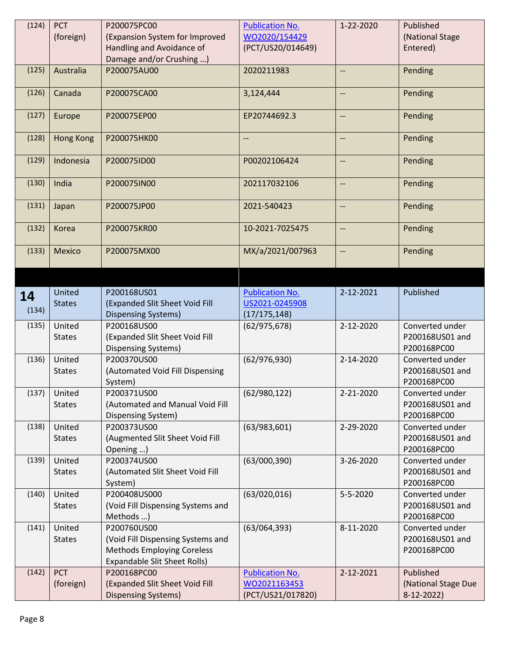| (124) | <b>PCT</b>       | P200075PC00                                           | <b>Publication No.</b>            | 1-22-2020                | Published                          |
|-------|------------------|-------------------------------------------------------|-----------------------------------|--------------------------|------------------------------------|
|       | (foreign)        | (Expansion System for Improved                        | WO2020/154429                     |                          | (National Stage                    |
|       |                  | Handling and Avoidance of                             | (PCT/US20/014649)                 |                          | Entered)                           |
|       |                  | Damage and/or Crushing )                              |                                   |                          |                                    |
| (125) | Australia        | P200075AU00                                           | 2020211983                        | $-$                      | Pending                            |
| (126) | Canada           | P200075CA00                                           | 3,124,444                         | --                       | Pending                            |
| (127) | Europe           | P200075EP00                                           | EP20744692.3                      | --                       | Pending                            |
| (128) | <b>Hong Kong</b> | P200075HK00                                           | $\overline{\phantom{a}}$          | $\overline{\phantom{a}}$ | Pending                            |
| (129) | Indonesia        | P200075ID00                                           | P00202106424                      | --                       | Pending                            |
| (130) | India            | P200075IN00                                           | 202117032106                      | $\overline{\phantom{a}}$ | Pending                            |
| (131) | Japan            | P200075JP00                                           | 2021-540423                       | --                       | Pending                            |
| (132) | Korea            | P200075KR00                                           | 10-2021-7025475                   | --                       | Pending                            |
| (133) | Mexico           | P200075MX00                                           | MX/a/2021/007963                  | --                       | Pending                            |
|       |                  |                                                       |                                   |                          |                                    |
|       | United           | P200168US01                                           | <b>Publication No.</b>            | 2-12-2021                | Published                          |
| 14    | <b>States</b>    | (Expanded Slit Sheet Void Fill                        | US2021-0245908                    |                          |                                    |
| (134) |                  | <b>Dispensing Systems)</b>                            | (17/175, 148)                     |                          |                                    |
| (135) | United           | P200168US00                                           | (62/975, 678)                     | 2-12-2020                | Converted under                    |
|       | <b>States</b>    | (Expanded Slit Sheet Void Fill                        |                                   |                          | P200168US01 and                    |
|       |                  | <b>Dispensing Systems)</b>                            |                                   |                          | P200168PC00                        |
| (136) | United           | P200370US00                                           | (62/976, 930)                     | 2-14-2020                | Converted under                    |
|       | <b>States</b>    | (Automated Void Fill Dispensing                       |                                   |                          | P200168US01 and                    |
|       |                  | System)                                               |                                   |                          | P200168PC00                        |
| (137) | United           | P200371US00                                           | (62/980, 122)                     | 2-21-2020                | Converted under                    |
|       | <b>States</b>    | (Automated and Manual Void Fill                       |                                   |                          | P200168US01 and                    |
|       |                  | Dispensing System)                                    |                                   |                          | P200168PC00                        |
| (138) | United           | P200373US00                                           | (63/983, 601)                     | 2-29-2020                | Converted under                    |
|       | <b>States</b>    | (Augmented Slit Sheet Void Fill                       |                                   |                          | P200168US01 and                    |
|       |                  | Opening )                                             |                                   |                          | P200168PC00                        |
| (139) | United           | P200374US00                                           |                                   | 3-26-2020                | Converted under                    |
|       |                  |                                                       |                                   |                          |                                    |
|       | <b>States</b>    | (Automated Slit Sheet Void Fill                       | (63/000, 390)                     |                          | P200168US01 and                    |
|       |                  | System)                                               |                                   |                          | P200168PC00                        |
| (140) | United           | P200408US000                                          | (63/020, 016)                     | 5-5-2020                 | Converted under                    |
|       | <b>States</b>    | (Void Fill Dispensing Systems and                     |                                   |                          | P200168US01 and                    |
|       |                  | Methods )                                             |                                   |                          | P200168PC00                        |
| (141) | United           | P200760US00                                           | (63/064, 393)                     | 8-11-2020                | Converted under                    |
|       | <b>States</b>    | (Void Fill Dispensing Systems and                     |                                   |                          | P200168US01 and                    |
|       |                  | <b>Methods Employing Coreless</b>                     |                                   |                          | P200168PC00                        |
|       |                  | <b>Expandable Slit Sheet Rolls)</b>                   |                                   |                          |                                    |
| (142) | <b>PCT</b>       | P200168PC00                                           | <b>Publication No.</b>            | 2-12-2021                | Published                          |
|       | (foreign)        | (Expanded Slit Sheet Void Fill<br>Dispensing Systems) | WO2021163453<br>(PCT/US21/017820) |                          | (National Stage Due<br>$8-12-2022$ |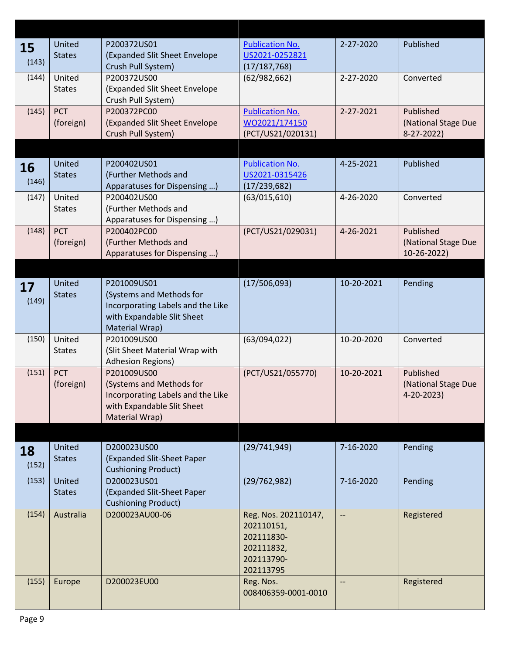| 15    | United        | P200372US01                                  | <b>Publication No.</b> | 2-27-2020                | Published           |
|-------|---------------|----------------------------------------------|------------------------|--------------------------|---------------------|
|       | <b>States</b> | (Expanded Slit Sheet Envelope                | US2021-0252821         |                          |                     |
| (143) |               | Crush Pull System)                           | (17/187, 768)          |                          |                     |
| (144) | United        | P200372US00                                  | (62/982, 662)          | 2-27-2020                | Converted           |
|       | <b>States</b> | (Expanded Slit Sheet Envelope                |                        |                          |                     |
|       |               | Crush Pull System)                           |                        |                          |                     |
| (145) | <b>PCT</b>    | P200372PC00                                  | <b>Publication No.</b> | 2-27-2021                | Published           |
|       | (foreign)     | (Expanded Slit Sheet Envelope                | WO2021/174150          |                          | (National Stage Due |
|       |               | Crush Pull System)                           | (PCT/US21/020131)      |                          | $8-27-2022$         |
|       |               |                                              |                        |                          |                     |
|       | United        | P200402US01                                  | <b>Publication No.</b> | 4-25-2021                | Published           |
| 16    | <b>States</b> | (Further Methods and                         | US2021-0315426         |                          |                     |
| (146) |               | Apparatuses for Dispensing )                 | (17/239,682)           |                          |                     |
| (147) | United        | P200402US00                                  | (63/015, 610)          | 4-26-2020                | Converted           |
|       | <b>States</b> | (Further Methods and                         |                        |                          |                     |
|       |               | Apparatuses for Dispensing )                 |                        |                          |                     |
| (148) | <b>PCT</b>    | P200402PC00                                  | (PCT/US21/029031)      | 4-26-2021                | Published           |
|       | (foreign)     | (Further Methods and                         |                        |                          | (National Stage Due |
|       |               | Apparatuses for Dispensing )                 |                        |                          | 10-26-2022)         |
|       |               |                                              |                        |                          |                     |
|       |               |                                              |                        |                          |                     |
| 17    | United        | P201009US01                                  | (17/506,093)           | 10-20-2021               | Pending             |
| (149) | <b>States</b> | (Systems and Methods for                     |                        |                          |                     |
|       |               | Incorporating Labels and the Like            |                        |                          |                     |
|       |               | with Expandable Slit Sheet                   |                        |                          |                     |
|       |               | Material Wrap)                               |                        |                          |                     |
| (150) | United        | P201009US00                                  | (63/094, 022)          | 10-20-2020               | Converted           |
|       | <b>States</b> | (Slit Sheet Material Wrap with               |                        |                          |                     |
|       |               | <b>Adhesion Regions)</b>                     |                        |                          |                     |
| (151) | <b>PCT</b>    | P201009US00                                  | (PCT/US21/055770)      | 10-20-2021               | Published           |
|       | (foreign)     | (Systems and Methods for                     |                        |                          | (National Stage Due |
|       |               | Incorporating Labels and the Like            |                        |                          | 4-20-2023)          |
|       |               | with Expandable Slit Sheet<br>Material Wrap) |                        |                          |                     |
|       |               |                                              |                        |                          |                     |
|       |               |                                              |                        |                          |                     |
| 18    | United        | D200023US00                                  | (29/741,949)           | 7-16-2020                | Pending             |
| (152) | <b>States</b> | (Expanded Slit-Sheet Paper                   |                        |                          |                     |
|       |               | <b>Cushioning Product)</b>                   |                        |                          |                     |
| (153) | United        | D200023US01                                  | (29/762,982)           | 7-16-2020                | Pending             |
|       | <b>States</b> | (Expanded Slit-Sheet Paper                   |                        |                          |                     |
|       |               | <b>Cushioning Product)</b>                   |                        |                          |                     |
| (154) | Australia     | D200023AU00-06                               | Reg. Nos. 202110147,   | $\overline{\phantom{a}}$ | Registered          |
|       |               |                                              | 202110151,             |                          |                     |
|       |               |                                              | 202111830-             |                          |                     |
|       |               |                                              | 202111832,             |                          |                     |
|       |               |                                              | 202113790-             |                          |                     |
|       |               |                                              | 202113795              |                          |                     |
| (155) | Europe        | D200023EU00                                  | Reg. Nos.              | --                       | Registered          |
|       |               |                                              | 008406359-0001-0010    |                          |                     |
|       |               |                                              |                        |                          |                     |